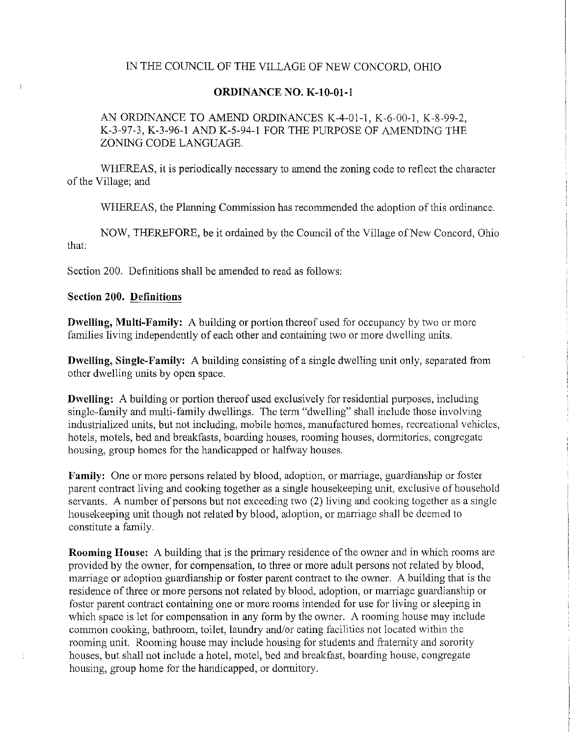## IN THE COUNCIL OF THE VILLAGE OF NEW CONCORD, OHIO

### **ORDINANCE NO. K-10-01-1**

AN ORDINANCE TO AMEND ORDINANCES K-4-01-1, K-6-00-1, K-8-99-2, K-3-97-3, K-3-96-1 AND K-5-94-1 FOR THE PURPOSE OF AMENDING THE ZONING CODE LANGUAGR

WHEREAS, it is periodically necessary to amend the zoning code to reflect the character of the Village; and

WHEREAS, the Planning Commission has recommended the adoption of this ordinance.

NOW, THEREFORE, be it ordained by the Council of the Village of New Concord, Ohio that:

Section 200. Definitions shall be amended to read as follows:

## **Section 200. Definitions**

**Dwelling, Multi-Family:** A building or portion thereof used for occupancy by two or more families living independently of each other and containing two or more dwelling units.

**Dwelling, Single-Family:** A building consisting of a single dwelling unit only, separated from other dwelling units by open space.

**Dwelling:** A building or portion thereof used exclusively for residential purposes, including single-family and multi-family dwellings. The term "dwelling" shall include those involving industrialized units, but not including, mobile homes, manufactured homes, recreational vehicles, hotels, motels, bed and breakfasts, boarding houses, rooming houses, dormitories, congregate housing, group homes for the handicapped or halfway houses.

**Family:** One or more persons related by blood, adoption, or marriage, guardianship or foster parent contract living and cooking together as a single housekeeping unit, exclusive of household servants. A number of persons but not exceeding two (2) living and cooking together as a single housekeeping unit though not related by blood, adoption, or marriage shall be deemed to constitute a family.

**Rooming Honse:** A building that is the primary residence of the owuer and in which rooms arc provided by the owner, for compensation, to three or more adult persons not related by blood, marriage or adoption guardianship or foster parent contract to the owner. A building that is the residence of three or more persons not related by blood, adoption, or marriage guardianship or foster parent contract containing one or more rooms intended for use for living or sleeping in which space is let for compensation in any form by the owner. A rooming house may include common cooking, bathroom, toilet, laundry and/or eating facilities not located within the rooming unit. Rooming house may include housing for students and fraternity and sorority houses, but shall not include a hotel, motel, bed and breakfast, boarding house, congregate housing, group home for the handicapped, or dormitory.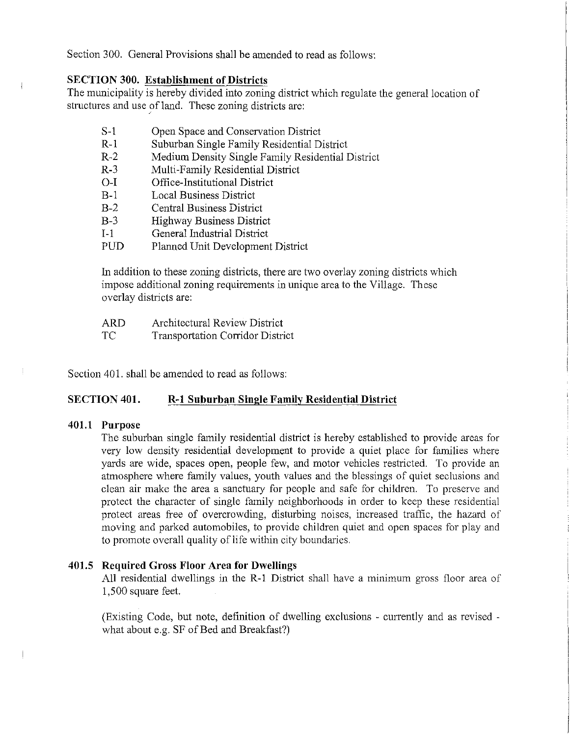Section 300. General Provisions shall be amended to read as follows:

# **SECTION 300. Establishment of Districts**

The municipality is hereby divided into zoning district which regulate the general location of structures and use of land. These zoning districts are:

- S-1 Open Space and Conservation District
- R-1 Suburban Single Family Residential District
- R-2 Medium Density Single Family Residential District
- R-3 Multi-Family Residential District
- 0-I Office-Institutional District
- B-1 Local Business District
- B-2 Central Business District
- B-3 Highway Business District
- 1-1 General Industrial District
- PUD Planned Unit Development District

In addition to these zoning districts, there are two overlay zoning districts which impose additional zoning requirements in unique area to the Village. These overlay districts are:

| ARD | Architectural Review District           |
|-----|-----------------------------------------|
| ТC  | <b>Transportation Corridor District</b> |

Section 401. shall be amended to read as follows:

# **SECTION 401. R-1 Subnrban Single Family Residential District**

## **401.1 Purpose**

The suburban single family residential district is hereby established to provide areas for very low density residential development to provide a quiet place for families where yards are wide, spaces open, people few, and motor vehicles restricted. To provide an atmosphere where family values, youth values and the blessings of quiet seclusions and clean air make the area a sanctuary for people and safe for children. To preserve and protect the character of single family neighborhoods in order to keep these residential protect areas free of overcrowding, disturbing noises, increased traffic, the hazard of moving and parked automobiles, to provide children quiet and open spaces for play and to promote overall quality of life within city boundaries.

## **401.5 Required Gross Floor Area for Dwellings**

All residential dwellings in the R-1 District shall have a minimum gross floor area of 1,500 square feet.

(Existing Code, but note, definition of dwelling exclusions - currently and as revised what about e.g. SF of Bed and Breakfast?)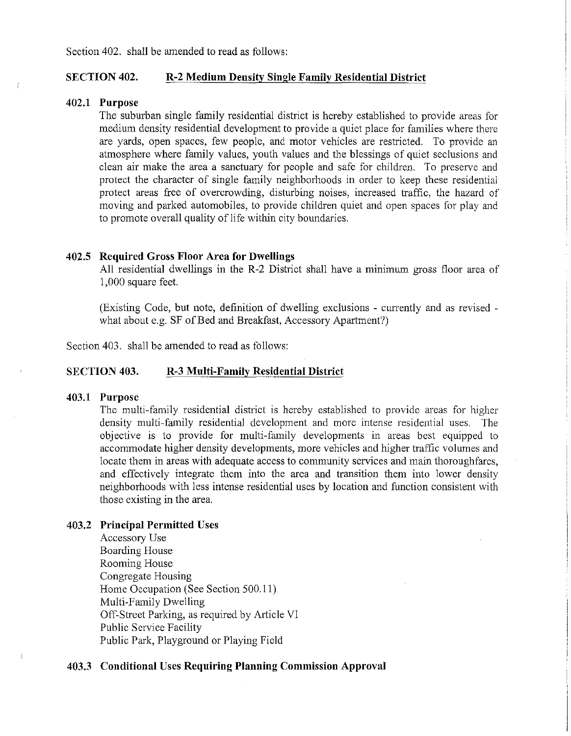## SECTION 402. R-2 Medium Deusity Single Family Residential District

#### 402.1 Purpose

The suburban single family residential district is hereby established to provide areas for medium density residential development to provide a quiet place for families where there are yards, open spaces, few people, and motor vehicles are restricted. To provide an atmosphere where family values, youth values and the blessings of quiet seclusions and clean air make the area a sanctuary for people and safe for children. To preserve and protect the character of single family neighborhoods in order to keep these residential protect areas free of overcrowding, disturbing noises, increased traffic, the hazard of moving and parked automobiles, to provide children quiet and open spaces for play and to promote overall quality of life within city boundaries.

#### 402.5 Required Gross Floor Area for Dwellings

All residential dwellings in the R-2 District shall have a minimum gross floor area of 1,000 square feet.

(Existing Code, but note, definition of dwelling exclusions - currently and as revised what about e.g. SF of Bed and Breakfast, Accessory Apartment?)

Section 403. shall be amended to read as follows:

#### SECTION 403. R-3 Multi-Family Residential District

#### 403.1 Purpose

Ť

The multi-family residential district is hereby established to provide areas for higher density multi-family residential development and more intense residential uses. The objective is to provide for multi-family developments in areas best equipped to accommodate higher density developments, more vehicles and higher traffic volumes and locate them in areas with adequate access to community services and main thoroughfares, and effectively integrate them into the area and transition them into lower density neighborhoods with less intense residential uses by location and function consistent with those existing in the area.

#### 403.2 Principal Permitted Uses

Accessory Use Boarding House Rooming House Congregate Housing Home Occupation (See Section 500.11) Multi-Family Dwelling Off-Street Parking, as required by Article VI Public Service Facility Public Park, Playground or Playing Field

## 403.3 Conditional Uses Requiring Planning Commission Approval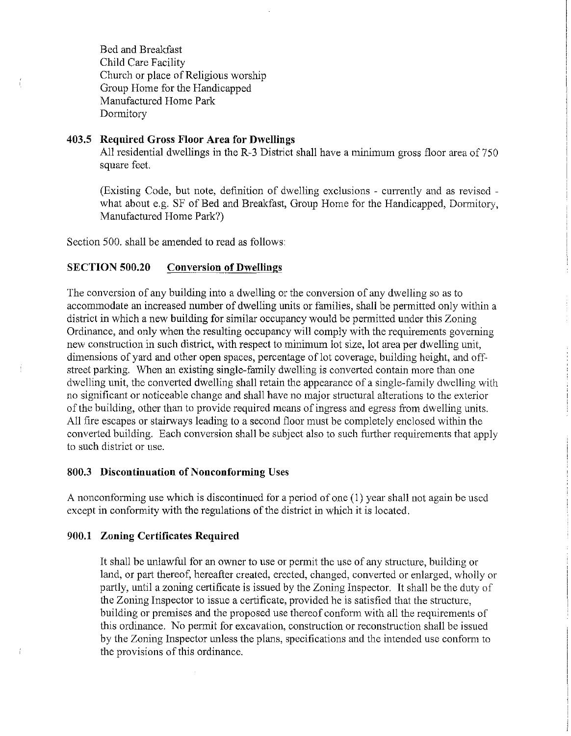Bed and Breakfast Child Care Facility Church or place of Religious worship Group Home for the Handicapped Manufactured Home Park Dormitory

# 403.5 Required Gross Floor Area for Dwellings

All residential dwellings in the R-3 District shall have a minimum gross floor area of  $750$ square feet.

(Existing Code, but note, definition of dwelling exclusions - currently and as revised what about e.g. SF of Bed and Breakfast, Group Home for the Handicapped, Dormitory, Manufactured Home Park?)

Section 500. shall be amended to read as follows:

# SECTION 500.20 Conversion of Dwellings

The conversion of any building into a dwelling or the conversion of any dwelling so as to accommodate an increased number of dwelling units or families, shall be permitted only within a district in which a new building for similar occupancy would be permitted under this Zoning Ordinance, and only when the resulting occupancy will comply with the requirements governing new construction in such district, with respect to minimum lot size, lot area per dwelling unit, dimensions of yard and other open spaces, percentage of lot coverage, building height, and offstreet parking. When an existing single-family dwelling is converted contain more than one dwelling unit, the converted dwelling shall retain the appearance of a single-family dwelling with no significant or noticeable change and shall have no major structural alterations to the exterior of the building, other than to provide required means of ingress and egress from dwelling units. All fire escapes or stairways leading to a second floor must be completely enclosed within the converted building. Each conversion shall be subject also to such further requirements that apply to such district or use.

## 800.3 Discontinuation of Nonconforming Uses

A nonconforming use which is discontinued for a period of one (1) year shall not again be used except in conformity with the regulations of the district in which it is located.

#### 900.1 Zoning Certificates Required

Ť

It shall be unlawful for an owner to use or pennit the use of any structure, building or land, or part thereof, hereafter created, erected, changed, converted or enlarged, wholly or partly, until a zoning certificate is issued by the Zoning Inspector. It shall be the duty of the Zoning Inspector to issue a certificate, provided he is satisfied that the structure, building or premises and the proposed use thereof conform with all the requirements of this ordinance. No permit for excavation, construction or reconstruction shall be issued by the Zoning Inspector unless the plans, specifications and the intended use conform to the provisions of this ordinance.